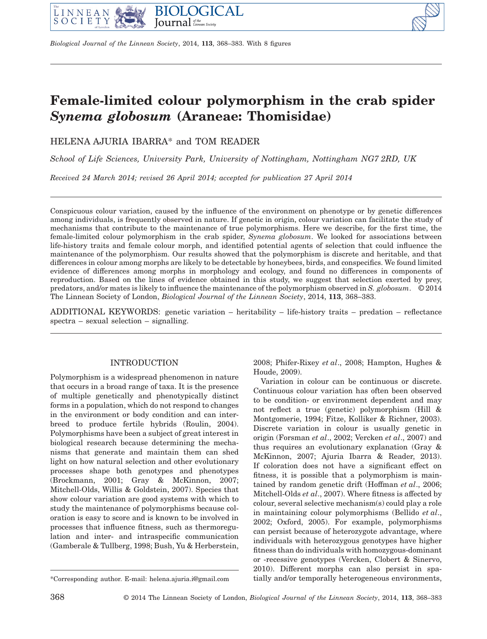



# **Female-limited colour polymorphism in the crab spider** *Synema globosum* **(Araneae: Thomisidae)**

HELENA AJURIA IBARRA\* and TOM READER

*School of Life Sciences, University Park, University of Nottingham, Nottingham NG7 2RD, UK*

*Received 24 March 2014; revised 26 April 2014; accepted for publication 27 April 2014*

Conspicuous colour variation, caused by the influence of the environment on phenotype or by genetic differences among individuals, is frequently observed in nature. If genetic in origin, colour variation can facilitate the study of mechanisms that contribute to the maintenance of true polymorphisms. Here we describe, for the first time, the female-limited colour polymorphism in the crab spider, *Synema globosum*. We looked for associations between life-history traits and female colour morph, and identified potential agents of selection that could influence the maintenance of the polymorphism. Our results showed that the polymorphism is discrete and heritable, and that differences in colour among morphs are likely to be detectable by honeybees, birds, and conspecifics. We found limited evidence of differences among morphs in morphology and ecology, and found no differences in components of reproduction. Based on the lines of evidence obtained in this study, we suggest that selection exerted by prey, predators, and/or mates is likely to influence the maintenance of the polymorphism observed in *S. globosum*. © 2014 The Linnean Society of London, *Biological Journal of the Linnean Society*, 2014, **113**, 368–383.

ADDITIONAL KEYWORDS: genetic variation – heritability – life-history traits – predation – reflectance spectra – sexual selection – signalling.

# INTRODUCTION

Polymorphism is a widespread phenomenon in nature that occurs in a broad range of taxa. It is the presence of multiple genetically and phenotypically distinct forms in a population, which do not respond to changes in the environment or body condition and can interbreed to produce fertile hybrids (Roulin, 2004). Polymorphisms have been a subject of great interest in biological research because determining the mechanisms that generate and maintain them can shed light on how natural selection and other evolutionary processes shape both genotypes and phenotypes (Brockmann, 2001; Gray & McKinnon, 2007; Mitchell-Olds, Willis & Goldstein, 2007). Species that show colour variation are good systems with which to study the maintenance of polymorphisms because coloration is easy to score and is known to be involved in processes that influence fitness, such as thermoregulation and inter- and intraspecific communication (Gamberale & Tullberg, 1998; Bush, Yu & Herberstein, 2008; Phifer-Rixey *et al*., 2008; Hampton, Hughes & Houde, 2009).

Variation in colour can be continuous or discrete. Continuous colour variation has often been observed to be condition- or environment dependent and may not reflect a true (genetic) polymorphism (Hill & Montgomerie, 1994; Fitze, Kolliker & Richner, 2003). Discrete variation in colour is usually genetic in origin (Forsman *et al*., 2002; Vercken *et al*., 2007) and thus requires an evolutionary explanation (Gray & McKinnon, 2007; Ajuria Ibarra & Reader, 2013). If coloration does not have a significant effect on fitness, it is possible that a polymorphism is maintained by random genetic drift (Hoffman *et al*., 2006; Mitchell-Olds *et al*., 2007). Where fitness is affected by colour, several selective mechanism(s) could play a role in maintaining colour polymorphisms (Bellido *et al*., 2002; Oxford, 2005). For example, polymorphisms can persist because of heterozygote advantage, where individuals with heterozygous genotypes have higher fitness than do individuals with homozygous-dominant or -recessive genotypes (Vercken, Clobert & Sinervo, 2010). Different morphs can also persist in spa- \*Corresponding author. E-mail: [helena.ajuria.i@gmail.com](mailto:helena.ajuria.i@gmail.com) tially and/or temporally heterogeneous environments,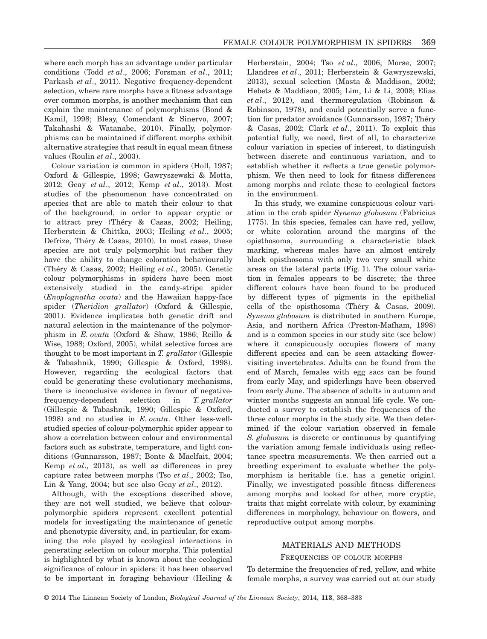where each morph has an advantage under particular conditions (Todd *et al*., 2006; Forsman *et al*., 2011; Parkash *et al*., 2011). Negative frequency-dependent selection, where rare morphs have a fitness advantage over common morphs, is another mechanism that can explain the maintenance of polymorphisms (Bond & Kamil, 1998; Bleay, Comendant & Sinervo, 2007; Takahashi & Watanabe, 2010). Finally, polymorphisms can be maintained if different morphs exhibit alternative strategies that result in equal mean fitness values (Roulin *et al*., 2003).

Colour variation is common in spiders (Holl, 1987; Oxford & Gillespie, 1998; Gawryszewski & Motta, 2012; Geay *et al*., 2012; Kemp *et al*., 2013). Most studies of the phenomenon have concentrated on species that are able to match their colour to that of the background, in order to appear cryptic or to attract prey (Théry & Casas, 2002; Heiling, Herberstein & Chittka, 2003; Heiling *et al*., 2005; Defrize, Théry & Casas, 2010). In most cases, these species are not truly polymorphic but rather they have the ability to change coloration behaviourally (Théry & Casas, 2002; Heiling *et al*., 2005). Genetic colour polymorphisms in spiders have been most extensively studied in the candy-stripe spider (*Enoplognatha ovata*) and the Hawaiian happy-face spider (*Theridion grallator*) (Oxford & Gillespie, 2001). Evidence implicates both genetic drift and natural selection in the maintenance of the polymorphism in *E. ovata* (Oxford & Shaw, 1986; Reillo & Wise, 1988; Oxford, 2005), whilst selective forces are thought to be most important in *T. grallator* (Gillespie & Tabashnik, 1990; Gillespie & Oxford, 1998). However, regarding the ecological factors that could be generating these evolutionary mechanisms, there is inconclusive evidence in favour of negativefrequency-dependent selection in *T. grallator* (Gillespie & Tabashnik, 1990; Gillespie & Oxford, 1998) and no studies in *E. ovata*. Other less-wellstudied species of colour-polymorphic spider appear to show a correlation between colour and environmental factors such as substrate, temperature, and light conditions (Gunnarsson, 1987; Bonte & Maelfait, 2004; Kemp *et al*., 2013), as well as differences in prey capture rates between morphs (Tso *et al*., 2002; Tso, Lin & Yang, 2004; but see also Geay *et al*., 2012).

Although, with the exceptions described above, they are not well studied, we believe that colourpolymorphic spiders represent excellent potential models for investigating the maintenance of genetic and phenotypic diversity, and, in particular, for examining the role played by ecological interactions in generating selection on colour morphs. This potential is highlighted by what is known about the ecological significance of colour in spiders: it has been observed to be important in foraging behaviour (Heiling & Herberstein, 2004; Tso *et al*., 2006; Morse, 2007; Llandres *et al*., 2011; Herberstein & Gawryszewski, 2013), sexual selection (Masta & Maddison, 2002; Hebets & Maddison, 2005; Lim, Li & Li, 2008; Elias *et al*., 2012), and thermoregulation (Robinson & Robinson, 1978), and could potentially serve a function for predator avoidance (Gunnarsson, 1987; Théry & Casas, 2002; Clark *et al*., 2011). To exploit this potential fully, we need, first of all, to characterize colour variation in species of interest, to distinguish between discrete and continuous variation, and to establish whether it reflects a true genetic polymorphism. We then need to look for fitness differences among morphs and relate these to ecological factors in the environment.

In this study, we examine conspicuous colour variation in the crab spider *Synema globosum* (Fabricius 1775). In this species, females can have red, yellow, or white coloration around the margins of the opisthosoma, surrounding a characteristic black marking, whereas males have an almost entirely black opisthosoma with only two very small white areas on the lateral parts (Fig. 1). The colour variation in females appears to be discrete; the three different colours have been found to be produced by different types of pigments in the epithelial cells of the opisthosoma (Théry & Casas, 2009). *Synema globosum* is distributed in southern Europe, Asia, and northern Africa (Preston-Mafham, 1998) and is a common species in our study site (see below) where it conspicuously occupies flowers of many different species and can be seen attacking flowervisiting invertebrates. Adults can be found from the end of March, females with egg sacs can be found from early May, and spiderlings have been observed from early June. The absence of adults in autumn and winter months suggests an annual life cycle. We conducted a survey to establish the frequencies of the three colour morphs in the study site. We then determined if the colour variation observed in female *S. globosum* is discrete or continuous by quantifying the variation among female individuals using reflectance spectra measurements. We then carried out a breeding experiment to evaluate whether the polymorphism is heritable (i.e. has a genetic origin). Finally, we investigated possible fitness differences among morphs and looked for other, more cryptic, traits that might correlate with colour, by examining differences in morphology, behaviour on flowers, and reproductive output among morphs.

## MATERIALS AND METHODS

## FREQUENCIES OF COLOUR MORPHS

To determine the frequencies of red, yellow, and white female morphs, a survey was carried out at our study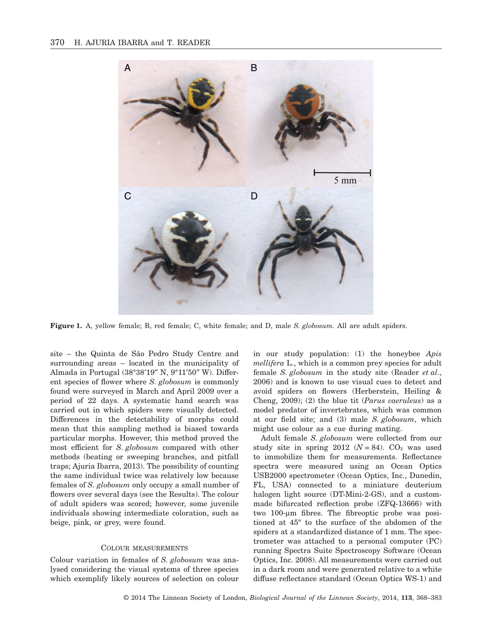

**Figure 1.** A, yellow female; B, red female; C, white female; and D, male *S. globosum.* All are adult spiders.

site – the Quinta de São Pedro Study Centre and surrounding areas – located in the municipality of Almada in Portugal (38°38′19″ N, 9°11′50″ W). Different species of flower where *S. globosum* is commonly found were surveyed in March and April 2009 over a period of 22 days. A systematic hand search was carried out in which spiders were visually detected. Differences in the detectability of morphs could mean that this sampling method is biased towards particular morphs. However, this method proved the most efficient for *S. globosum* compared with other methods (beating or sweeping branches, and pitfall traps; Ajuria Ibarra, 2013). The possibility of counting the same individual twice was relatively low because females of *S. globosum* only occupy a small number of flowers over several days (see the Results). The colour of adult spiders was scored; however, some juvenile individuals showing intermediate coloration, such as beige, pink, or grey, were found.

#### COLOUR MEASUREMENTS

Colour variation in females of *S. globosum* was analysed considering the visual systems of three species which exemplify likely sources of selection on colour in our study population: (1) the honeybee *Apis mellifera* L., which is a common prey species for adult female *S. globosum* in the study site (Reader *et al*., 2006) and is known to use visual cues to detect and avoid spiders on flowers (Herberstein, Heiling & Cheng, 2009); (2) the blue tit (*Parus caeruleus*) as a model predator of invertebrates, which was common at our field site; and (3) male *S. globosum*, which might use colour as a cue during mating.

Adult female *S. globosum* were collected from our study site in spring  $2012$  ( $N = 84$ ). CO<sub>2</sub> was used to immobilize them for measurements. Reflectance spectra were measured using an Ocean Optics USB2000 spectrometer (Ocean Optics, Inc., Dunedin, FL, USA) connected to a miniature deuterium halogen light source (DT-Mini-2-GS), and a custommade bifurcated reflection probe (ZFQ-13666) with two 100-μm fibres. The fibreoptic probe was positioned at 45° to the surface of the abdomen of the spiders at a standardized distance of 1 mm. The spectrometer was attached to a personal computer (PC) running Spectra Suite Spectroscopy Software (Ocean Optics, Inc. 2008). All measurements were carried out in a dark room and were generated relative to a white diffuse reflectance standard (Ocean Optics WS-1) and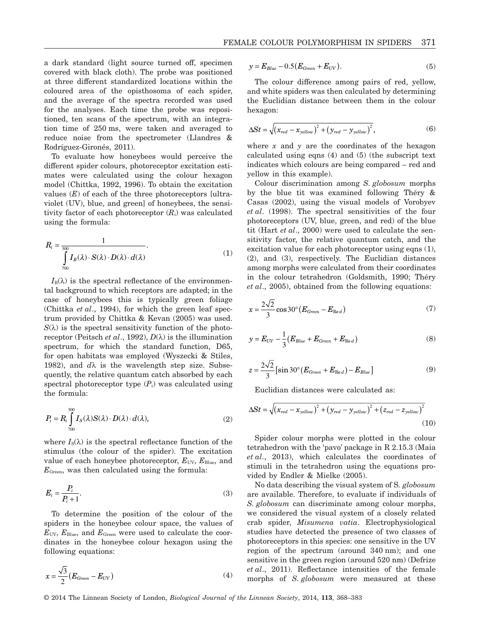a dark standard (light source turned off, specimen covered with black cloth). The probe was positioned at three different standardized locations within the coloured area of the opisthosoma of each spider, and the average of the spectra recorded was used for the analyses. Each time the probe was repositioned, ten scans of the spectrum, with an integration time of 250 ms, were taken and averaged to reduce noise from the spectrometer (Llandres & Rodríguez-Gironés, 2011).

To evaluate how honeybees would perceive the different spider colours, photoreceptor excitation estimates were calculated using the colour hexagon model (Chittka, 1992, 1996). To obtain the excitation values (*E*) of each of the three photoreceptors [ultraviolet (UV), blue, and green] of honeybees, the sensitivity factor of each photoreceptor  $(R_i)$  was calculated using the formula:

$$
R_i = \frac{1}{\int_{700}^{300} I_B(\lambda) \cdot S(\lambda) \cdot D(\lambda) \cdot d(\lambda)}.
$$
 (1)

 $I_{\text{B}}(\lambda)$  is the spectral reflectance of the environmental background to which receptors are adapted; in the case of honeybees this is typically green foliage (Chittka *et al*., 1994), for which the green leaf spectrum provided by Chittka & Kevan (2005) was used.  $S(\lambda)$  is the spectral sensitivity function of the photoreceptor (Peitsch *et al.*, 1992),  $D(\lambda)$  is the illumination spectrum, for which the standard function, D65, for open habitats was employed (Wyszecki & Stiles, 1982), and  $d\lambda$  is the wavelength step size. Subsequently, the relative quantum catch absorbed by each spectral photoreceptor type  $(P_i)$  was calculated using the formula:

$$
P_i = R_i \int_{700}^{300} I_S(\lambda) S(\lambda) \cdot D(\lambda) \cdot d(\lambda), \qquad (2)
$$

where  $I_{S}(\lambda)$  is the spectral reflectance function of the stimulus (the colour of the spider). The excitation value of each honeybee photoreceptor,  $E_{UV}$ ,  $E_{Blue}$ , and *E*Green, was then calculated using the formula:

$$
E_i = \frac{P_i}{P_i + 1}.\tag{3}
$$

To determine the position of the colour of the spiders in the honeybee colour space, the values of  $E_{\text{UV}}$ ,  $E_{\text{Blue}}$ , and  $E_{\text{Green}}$  were used to calculate the coordinates in the honeybee colour hexagon using the following equations:

$$
x = \frac{\sqrt{3}}{2} \left( E_{Green} - E_{UV} \right) \tag{4}
$$

$$
y = E_{Blue} - 0.5(E_{Green} + E_{UV}).
$$
\n
$$
(5)
$$

The colour difference among pairs of red, yellow, and white spiders was then calculated by determining the Euclidian distance between them in the colour hexagon:

$$
\Delta St = \sqrt{(x_{red} - x_{yellow})^2 + (y_{red} - y_{yellow})^2},
$$
\n(6)

where  $x$  and  $y$  are the coordinates of the hexagon calculated using eqns (4) and (5) (the subscript text indicates which colours are being compared – red and yellow in this example).

Colour discrimination among *S. globosum* morphs by the blue tit was examined following Théry & Casas (2002), using the visual models of Vorobyev *et al*. (1998). The spectral sensitivities of the four photoreceptors (UV, blue, green, and red) of the blue tit (Hart *et al*., 2000) were used to calculate the sensitivity factor, the relative quantum catch, and the excitation value for each photoreceptor using eqns (1), (2), and (3), respectively. The Euclidian distances among morphs were calculated from their coordinates in the colour tetrahedron (Goldsmith, 1990; Théry *et al*., 2005), obtained from the following equations:

$$
x = \frac{2\sqrt{2}}{3}\cos 30^{\circ}(E_{Green} - E_{Red})
$$
\n(7)

$$
y = E_{UV} - \frac{1}{3} (E_{Blue} + E_{Green} + E_{Red})
$$
 (8)

$$
z = \frac{2\sqrt{2}}{3} [\sin 30^{\circ} (E_{Green} + E_{Red}) - E_{Blue}]
$$
 (9)

Euclidian distances were calculated as:

$$
\Delta St = \sqrt{(x_{red} - x_{yellow})^2 + (y_{red} - y_{yellow})^2 + (z_{red} - z_{yellow})^2}
$$
\n(10)

Spider colour morphs were plotted in the colour tetrahedron with the 'pavo' package in R 2.15.3 (Maia *et al*., 2013), which calculates the coordinates of stimuli in the tetrahedron using the equations provided by Endler & Mielke (2005).

No data describing the visual system of S*. globosum* are available. Therefore, to evaluate if individuals of *S. globosum* can discriminate among colour morphs, we considered the visual system of a closely related crab spider, *Misumena vatia*. Electrophysiological studies have detected the presence of two classes of photoreceptors in this species: one sensitive in the UV region of the spectrum (around 340 nm); and one sensitive in the green region (around 520 nm) (Defrize *et al*., 2011). Reflectance intensities of the female morphs of *S. globosum* were measured at these

© 2014 The Linnean Society of London, *Biological Journal of the Linnean Society*, 2014, **113**, 368–383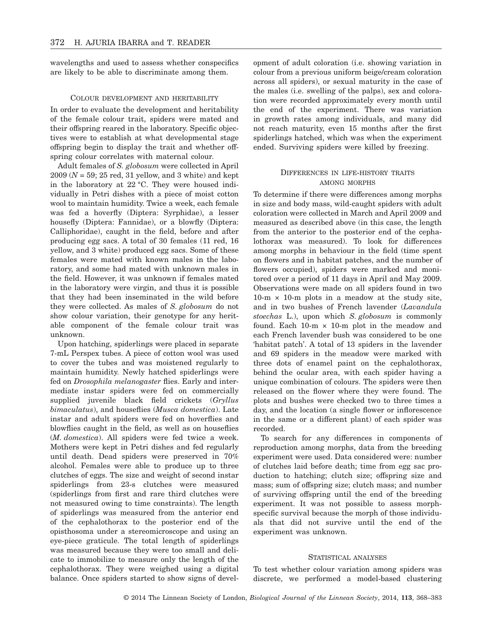wavelengths and used to assess whether conspecifics are likely to be able to discriminate among them.

## COLOUR DEVELOPMENT AND HERITABILITY

In order to evaluate the development and heritability of the female colour trait, spiders were mated and their offspring reared in the laboratory. Specific objectives were to establish at what developmental stage offspring begin to display the trait and whether offspring colour correlates with maternal colour.

Adult females of *S. globosum* were collected in April 2009 (*N* = 59; 25 red, 31 yellow, and 3 white) and kept in the laboratory at 22 °C. They were housed individually in Petri dishes with a piece of moist cotton wool to maintain humidity. Twice a week, each female was fed a hoverfly (Diptera: Syrphidae), a lesser housefly (Diptera: Fannidae), or a blowfly (Diptera: Calliphoridae), caught in the field, before and after producing egg sacs. A total of 30 females (11 red, 16 yellow, and 3 white) produced egg sacs. Some of these females were mated with known males in the laboratory, and some had mated with unknown males in the field. However, it was unknown if females mated in the laboratory were virgin, and thus it is possible that they had been inseminated in the wild before they were collected. As males of *S. globosum* do not show colour variation, their genotype for any heritable component of the female colour trait was unknown.

Upon hatching, spiderlings were placed in separate 7-mL Perspex tubes. A piece of cotton wool was used to cover the tubes and was moistened regularly to maintain humidity. Newly hatched spiderlings were fed on *Drosophila melanogaster* flies. Early and intermediate instar spiders were fed on commercially supplied juvenile black field crickets (*Gryllus bimaculatus*), and houseflies (*Musca domestica*). Late instar and adult spiders were fed on hoverflies and blowflies caught in the field, as well as on houseflies (*M. domestica*). All spiders were fed twice a week. Mothers were kept in Petri dishes and fed regularly until death. Dead spiders were preserved in 70% alcohol. Females were able to produce up to three clutches of eggs. The size and weight of second instar spiderlings from 23-s clutches were measured (spiderlings from first and rare third clutches were not measured owing to time constraints). The length of spiderlings was measured from the anterior end of the cephalothorax to the posterior end of the opisthosoma under a stereomicroscope and using an eye-piece graticule. The total length of spiderlings was measured because they were too small and delicate to immobilize to measure only the length of the cephalothorax. They were weighed using a digital balance. Once spiders started to show signs of development of adult coloration (i.e. showing variation in colour from a previous uniform beige/cream coloration across all spiders), or sexual maturity in the case of the males (i.e. swelling of the palps), sex and coloration were recorded approximately every month until the end of the experiment. There was variation in growth rates among individuals, and many did not reach maturity, even 15 months after the first spiderlings hatched, which was when the experiment ended. Surviving spiders were killed by freezing.

# DIFFERENCES IN LIFE-HISTORY TRAITS AMONG MORPHS

To determine if there were differences among morphs in size and body mass, wild-caught spiders with adult coloration were collected in March and April 2009 and measured as described above (in this case, the length from the anterior to the posterior end of the cephalothorax was measured). To look for differences among morphs in behaviour in the field (time spent on flowers and in habitat patches, and the number of flowers occupied), spiders were marked and monitored over a period of 11 days in April and May 2009. Observations were made on all spiders found in two  $10-m \times 10-m$  plots in a meadow at the study site, and in two bushes of French lavender (*Lavandula stoechas* L.), upon which *S. globosum* is commonly found. Each  $10-m \times 10-m$  plot in the meadow and each French lavender bush was considered to be one 'habitat patch'. A total of 13 spiders in the lavender and 69 spiders in the meadow were marked with three dots of enamel paint on the cephalothorax, behind the ocular area, with each spider having a unique combination of colours. The spiders were then released on the flower where they were found. The plots and bushes were checked two to three times a day, and the location (a single flower or inflorescence in the same or a different plant) of each spider was recorded.

To search for any differences in components of reproduction among morphs, data from the breeding experiment were used. Data considered were: number of clutches laid before death; time from egg sac production to hatching; clutch size; offspring size and mass; sum of offspring size; clutch mass; and number of surviving offspring until the end of the breeding experiment. It was not possible to assess morphspecific survival because the morph of those individuals that did not survive until the end of the experiment was unknown.

#### STATISTICAL ANALYSES

To test whether colour variation among spiders was discrete, we performed a model-based clustering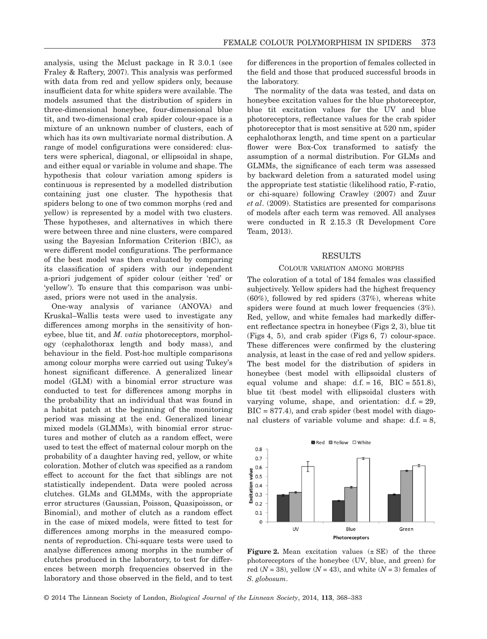analysis, using the Mclust package in R 3.0.1 (see Fraley & Raftery, 2007). This analysis was performed with data from red and yellow spiders only, because insufficient data for white spiders were available. The models assumed that the distribution of spiders in three-dimensional honeybee, four-dimensional blue tit, and two-dimensional crab spider colour-space is a mixture of an unknown number of clusters, each of which has its own multivariate normal distribution. A range of model configurations were considered: clusters were spherical, diagonal, or ellipsoidal in shape, and either equal or variable in volume and shape. The hypothesis that colour variation among spiders is continuous is represented by a modelled distribution containing just one cluster. The hypothesis that spiders belong to one of two common morphs (red and yellow) is represented by a model with two clusters. These hypotheses, and alternatives in which there were between three and nine clusters, were compared using the Bayesian Information Criterion (BIC), as were different model configurations. The performance of the best model was then evaluated by comparing its classification of spiders with our independent a-priori judgement of spider colour (either 'red' or 'yellow'). To ensure that this comparison was unbiased, priors were not used in the analysis.

One-way analysis of variance (ANOVA) and Kruskal–Wallis tests were used to investigate any differences among morphs in the sensitivity of honeybee, blue tit, and *M. vatia* photoreceptors, morphology (cephalothorax length and body mass), and behaviour in the field. Post-hoc multiple comparisons among colour morphs were carried out using Tukey's honest significant difference. A generalized linear model (GLM) with a binomial error structure was conducted to test for differences among morphs in the probability that an individual that was found in a habitat patch at the beginning of the monitoring period was missing at the end. Generalized linear mixed models (GLMMs), with binomial error structures and mother of clutch as a random effect, were used to test the effect of maternal colour morph on the probability of a daughter having red, yellow, or white coloration. Mother of clutch was specified as a random effect to account for the fact that siblings are not statistically independent. Data were pooled across clutches. GLMs and GLMMs, with the appropriate error structures (Gaussian, Poisson, Quasipoisson, or Binomial), and mother of clutch as a random effect in the case of mixed models, were fitted to test for differences among morphs in the measured components of reproduction. Chi-square tests were used to analyse differences among morphs in the number of clutches produced in the laboratory, to test for differences between morph frequencies observed in the laboratory and those observed in the field, and to test for differences in the proportion of females collected in the field and those that produced successful broods in the laboratory.

The normality of the data was tested, and data on honeybee excitation values for the blue photoreceptor. blue tit excitation values for the UV and blue photoreceptors, reflectance values for the crab spider photoreceptor that is most sensitive at 520 nm, spider cephalothorax length, and time spent on a particular flower were Box-Cox transformed to satisfy the assumption of a normal distribution. For GLMs and GLMMs, the significance of each term was assessed by backward deletion from a saturated model using the appropriate test statistic (likelihood ratio, F-ratio, or chi-square) following Crawley (2007) and Zuur *et al*. (2009). Statistics are presented for comparisons of models after each term was removed. All analyses were conducted in R 2.15.3 (R Development Core Team, 2013).

# RESULTS

#### COLOUR VARIATION AMONG MORPHS

The coloration of a total of 184 females was classified subjectively. Yellow spiders had the highest frequency (60%), followed by red spiders (37%), whereas white spiders were found at much lower frequencies (3%). Red, yellow, and white females had markedly different reflectance spectra in honeybee (Figs 2, 3), blue tit (Figs 4, 5), and crab spider (Figs 6, 7) colour-space. These differences were confirmed by the clustering analysis, at least in the case of red and yellow spiders. The best model for the distribution of spiders in honeybee (best model with ellipsoidal clusters of equal volume and shape:  $d.f. = 16$ ,  $BIC = 551.8$ ), blue tit (best model with ellipsoidal clusters with varying volume, shape, and orientation: d.f. = 29,  $BIC = 877.4$ , and crab spider (best model with diagonal clusters of variable volume and shape:  $d.f. = 8$ ,



**Figure 2.** Mean excitation values  $(\pm SE)$  of the three photoreceptors of the honeybee (UV, blue, and green) for red  $(N = 38)$ , yellow  $(N = 43)$ , and white  $(N = 3)$  females of *S. globosum*.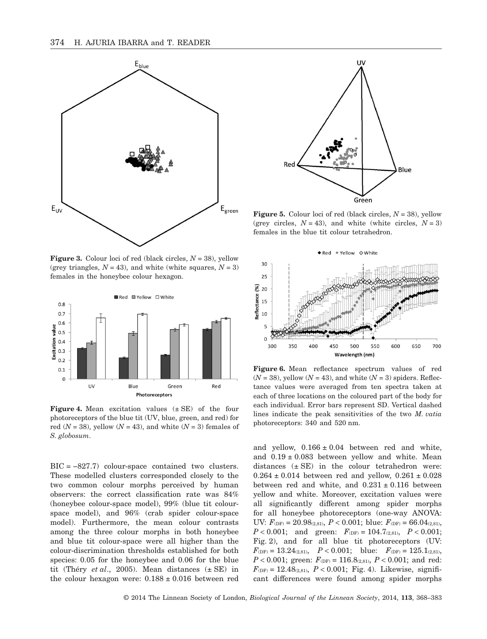

**Figure 3.** Colour loci of red (black circles,  $N = 38$ ), yellow (grey triangles,  $N = 43$ ), and white (white squares,  $N = 3$ ) females in the honeybee colour hexagon.



**Figure 4.** Mean excitation values ( $\pm$  SE) of the four photoreceptors of the blue tit (UV, blue, green, and red) for red  $(N = 38)$ , yellow  $(N = 43)$ , and white  $(N = 3)$  females of *S. globosum*.

 $BIC = -827.7$ ) colour-space contained two clusters. These modelled clusters corresponded closely to the two common colour morphs perceived by human observers: the correct classification rate was 84% (honeybee colour-space model), 99% (blue tit colourspace model), and 96% (crab spider colour-space model). Furthermore, the mean colour contrasts among the three colour morphs in both honeybee and blue tit colour-space were all higher than the colour-discrimination thresholds established for both species: 0.05 for the honeybee and 0.06 for the blue tit (Théry *et al.*, 2005). Mean distances  $(\pm SE)$  in the colour hexagon were:  $0.188 \pm 0.016$  between red



**Figure 5.** Colour loci of red (black circles,  $N = 38$ ), yellow (grey circles,  $N = 43$ ), and white (white circles,  $N = 3$ ) females in the blue tit colour tetrahedron.



**Figure 6.** Mean reflectance spectrum values of red  $(N = 38)$ , yellow  $(N = 43)$ , and white  $(N = 3)$  spiders. Reflectance values were averaged from ten spectra taken at each of three locations on the coloured part of the body for each individual. Error bars represent SD. Vertical dashed lines indicate the peak sensitivities of the two *M. vatia* photoreceptors: 340 and 520 nm.

and yellow,  $0.166 \pm 0.04$  between red and white, and  $0.19 \pm 0.083$  between yellow and white. Mean distances  $(\pm SE)$  in the colour tetrahedron were:  $0.264 \pm 0.014$  between red and yellow,  $0.261 \pm 0.028$ between red and white, and  $0.231 \pm 0.116$  between yellow and white. Moreover, excitation values were all significantly different among spider morphs for all honeybee photoreceptors (one-way ANOVA: UV:  $F_{\text{(DF)}} = 20.98_{(2,81)}$ ,  $P < 0.001$ ; blue:  $F_{\text{(DF)}} = 66.04_{(2,81)}$ ,  $P < 0.001$ ; and green:  $F_{\text{(DF)}} = 104.7_{(2,81)}$ ,  $P < 0.001$ ; Fig. 2), and for all blue tit photoreceptors (UV:  $F_{\text{(DF)}} = 13.24_{(2,81)}$ ,  $P < 0.001$ ; blue:  $F_{\text{(DF)}} = 125.1_{(2,81)}$ ,  $P < 0.001$ ; green:  $F_{\text{DF}} = 116.8_{(2,81)}$ ,  $P < 0.001$ ; and red:  $F_{\text{(DF)}} = 12.48_{(2,81)}$ ,  $P < 0.001$ ; Fig. 4). Likewise, significant differences were found among spider morphs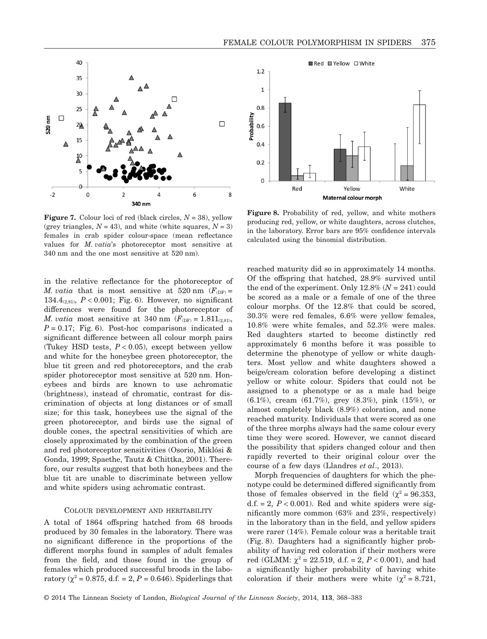

**Figure 7.** Colour loci of red (black circles, *N* = 38), yellow (grey triangles,  $N = 43$ ), and white (white squares,  $N = 3$ ) females in crab spider colour-space (mean reflectance values for *M. vatia*'s photoreceptor most sensitive at 340 nm and the one most sensitive at 520 nm).

in the relative reflectance for the photoreceptor of *M. vatia* that is most sensitive at 520 nm  $(F_{\text{DF}})$  = 134.4 $_{(2,81)}$ ,  $P < 0.001$ ; Fig. 6). However, no significant differences were found for the photoreceptor of *M. vatia* most sensitive at 340 nm  $(F_{(DF)} = 1.811_{(2,81)}$ ,  $P = 0.17$ ; Fig. 6). Post-hoc comparisons indicated a significant difference between all colour morph pairs (Tukey HSD tests, *P* < 0.05), except between yellow and white for the honeybee green photoreceptor, the blue tit green and red photoreceptors, and the crab spider photoreceptor most sensitive at 520 nm. Honeybees and birds are known to use achromatic (brightness), instead of chromatic, contrast for discrimination of objects at long distances or of small size; for this task, honeybees use the signal of the green photoreceptor, and birds use the signal of double cones, the spectral sensitivities of which are closely approximated by the combination of the green and red photoreceptor sensitivities (Osorio, Miklósi & Gonda, 1999; Spaethe, Tautz & Chittka, 2001). Therefore, our results suggest that both honeybees and the blue tit are unable to discriminate between yellow and white spiders using achromatic contrast.

#### COLOUR DEVELOPMENT AND HERITABILITY

A total of 1864 offspring hatched from 68 broods produced by 30 females in the laboratory. There was no significant difference in the proportions of the different morphs found in samples of adult females from the field, and those found in the group of females which produced successful broods in the laboratory ( $\chi^2$  = 0.875, d.f. = 2, *P* = 0.646). Spiderlings that



**Figure 8.** Probability of red, yellow, and white mothers producing red, yellow, or white daughters, across clutches, in the laboratory. Error bars are 95% confidence intervals calculated using the binomial distribution.

reached maturity did so in approximately 14 months. Of the offspring that hatched, 28.9% survived until the end of the experiment. Only  $12.8\%$   $(N = 241)$  could be scored as a male or a female of one of the three colour morphs. Of the 12.8% that could be scored, 30.3% were red females, 6.6% were yellow females, 10.8% were white females, and 52.3% were males. Red daughters started to become distinctly red approximately 6 months before it was possible to determine the phenotype of yellow or white daughters. Most yellow and white daughters showed a beige/cream coloration before developing a distinct yellow or white colour. Spiders that could not be assigned to a phenotype or as a male had beige (6.1%), cream (61.7%), grey (8.3%), pink (15%), or almost completely black (8.9%) coloration, and none reached maturity. Individuals that were scored as one of the three morphs always had the same colour every time they were scored. However, we cannot discard the possibility that spiders changed colour and then rapidly reverted to their original colour over the course of a few days (Llandres *et al*., 2013).

Morph frequencies of daughters for which the phenotype could be determined differed significantly from those of females observed in the field ( $\chi^2$  = 96.353, d.f.  $= 2$ ,  $P < 0.001$ ). Red and white spiders were significantly more common (63% and 23%, respectively) in the laboratory than in the field, and yellow spiders were rarer (14%). Female colour was a heritable trait (Fig. 8). Daughters had a significantly higher probability of having red coloration if their mothers were red (GLMM:  $\chi^2 = 22.519$ , d.f. = 2,  $P < 0.001$ ), and had a significantly higher probability of having white coloration if their mothers were white ( $\chi^2 = 8.721$ ,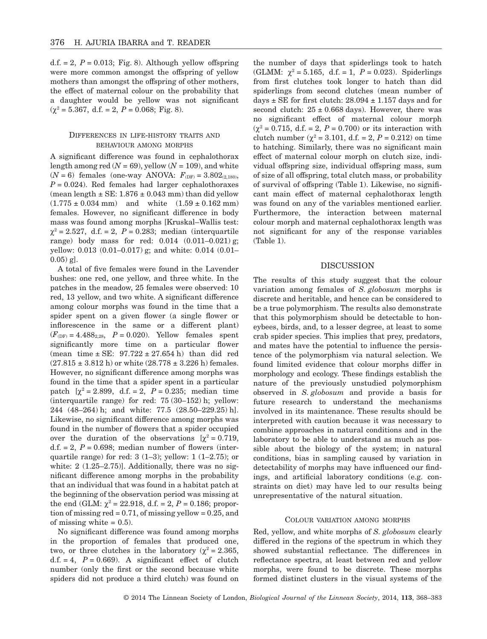d.f.  $= 2$ ,  $P = 0.013$ ; Fig. 8). Although yellow offspring were more common amongst the offspring of yellow mothers than amongst the offspring of other mothers, the effect of maternal colour on the probability that a daughter would be yellow was not significant  $(\chi^2 = 5.367, d.f. = 2, P = 0.068; Fig. 8).$ 

## DIFFERENCES IN LIFE-HISTORY TRAITS AND BEHAVIOUR AMONG MORPHS

A significant difference was found in cephalothorax length among red  $(N = 69)$ , yellow  $(N = 109)$ , and white  $(N = 6)$  females (one-way ANOVA:  $F_{(DF)} = 3.802_{(2,180)}$ ,  $P = 0.024$ . Red females had larger cephalothoraxes (mean length  $\pm$  SE: 1.876  $\pm$  0.043 mm) than did yellow  $(1.775 \pm 0.034 \text{ mm})$  and white  $(1.59 \pm 0.162 \text{ mm})$ females. However, no significant difference in body mass was found among morphs [Kruskal–Wallis test:  $\chi^2$  = 2.527, d.f. = 2, P = 0.283; median (interquartile range) body mass for red: 0.014 (0.011–0.021) g; yellow: 0.013 (0.01–0.017) g; and white: 0.014 (0.01–  $(0.05)$  g].

A total of five females were found in the Lavender bushes: one red, one yellow, and three white. In the patches in the meadow, 25 females were observed: 10 red, 13 yellow, and two white. A significant difference among colour morphs was found in the time that a spider spent on a given flower (a single flower or inflorescence in the same or a different plant)  $(F_{(DF)} = 4.488_{2,28}, P = 0.020)$ . Yellow females spent significantly more time on a particular flower (mean time  $\pm$  SE: 97.722  $\pm$  27.654 h) than did red  $(27.815 \pm 3.812 \text{ h})$  or white  $(28.778 \pm 3.226 \text{ h})$  females. However, no significant difference among morphs was found in the time that a spider spent in a particular patch  $[\chi^2 = 2.899, d.f. = 2, P = 0.235; median time$ (interquartile range) for red: 75 (30–152) h; yellow: 244 (48–264) h; and white: 77.5 (28.50–229.25) h]. Likewise, no significant difference among morphs was found in the number of flowers that a spider occupied over the duration of the observations  $[\chi^2 = 0.719]$ , d.f.  $= 2$ ,  $P = 0.698$ ; median number of flowers (interquartile range) for red:  $3(1-3)$ ; yellow:  $1(1-2.75)$ ; or white: 2 (1.25–2.75)]. Additionally, there was no significant difference among morphs in the probability that an individual that was found in a habitat patch at the beginning of the observation period was missing at the end (GLM:  $\chi^2 = 22.918$ , d.f. = 2, P = 0.186; proportion of missing  $red = 0.71$ , of missing yellow  $= 0.25$ , and of missing white  $= 0.5$ ).

No significant difference was found among morphs in the proportion of females that produced one, two, or three clutches in the laboratory ( $\chi^2 = 2.365$ , d.f.  $= 4$ ,  $P = 0.669$ . A significant effect of clutch number (only the first or the second because white spiders did not produce a third clutch) was found on

the number of days that spiderlings took to hatch (GLMM:  $\gamma^2 = 5.165$ , d.f. = 1,  $P = 0.023$ ). Spiderlings from first clutches took longer to hatch than did spiderlings from second clutches (mean number of days  $\pm$  SE for first clutch: 28.094  $\pm$  1.157 days and for second clutch:  $25 \pm 0.668$  days). However, there was no significant effect of maternal colour morph  $(\chi^2 = 0.715, d.f. = 2, P = 0.700)$  or its interaction with clutch number ( $\chi^2$  = 3.101, d.f. = 2, *P* = 0.212) on time to hatching. Similarly, there was no significant main effect of maternal colour morph on clutch size, individual offspring size, individual offspring mass, sum of size of all offspring, total clutch mass, or probability of survival of offspring (Table 1). Likewise, no significant main effect of maternal cephalothorax length was found on any of the variables mentioned earlier. Furthermore, the interaction between maternal colour morph and maternal cephalothorax length was not significant for any of the response variables (Table 1).

#### DISCUSSION

The results of this study suggest that the colour variation among females of *S. globosum* morphs is discrete and heritable, and hence can be considered to be a true polymorphism. The results also demonstrate that this polymorphism should be detectable to honeybees, birds, and, to a lesser degree, at least to some crab spider species. This implies that prey, predators, and mates have the potential to influence the persistence of the polymorphism via natural selection. We found limited evidence that colour morphs differ in morphology and ecology. These findings establish the nature of the previously unstudied polymorphism observed in *S. globosum* and provide a basis for future research to understand the mechanisms involved in its maintenance. These results should be interpreted with caution because it was necessary to combine approaches in natural conditions and in the laboratory to be able to understand as much as possible about the biology of the system; in natural conditions, bias in sampling caused by variation in detectability of morphs may have influenced our findings, and artificial laboratory conditions (e.g. constraints on diet) may have led to our results being unrepresentative of the natural situation.

#### COLOUR VARIATION AMONG MORPHS

Red, yellow, and white morphs of *S. globosum* clearly differed in the regions of the spectrum in which they showed substantial reflectance. The differences in reflectance spectra, at least between red and yellow morphs, were found to be discrete. These morphs formed distinct clusters in the visual systems of the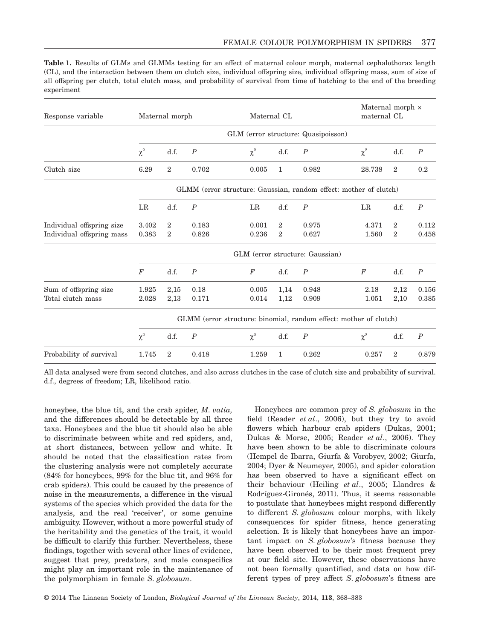**Table 1.** Results of GLMs and GLMMs testing for an effect of maternal colour morph, maternal cephalothorax length (CL), and the interaction between them on clutch size, individual offspring size, individual offspring mass, sum of size of all offspring per clutch, total clutch mass, and probability of survival from time of hatching to the end of the breeding experiment

| Response variable         | Maternal morph                                                    |                |                  | Maternal CL    |                |                  | Maternal morph $\times$<br>maternal CL |                |                  |
|---------------------------|-------------------------------------------------------------------|----------------|------------------|----------------|----------------|------------------|----------------------------------------|----------------|------------------|
|                           | GLM (error structure: Quasipoisson)                               |                |                  |                |                |                  |                                        |                |                  |
|                           | $\chi^2$                                                          | d.f.           | $\boldsymbol{P}$ | $\chi^2$       | d.f.           | $\boldsymbol{P}$ | $\chi^2$                               | d.f.           | $\boldsymbol{P}$ |
| Clutch size               | 6.29                                                              | $\overline{2}$ | 0.702            | 0.005          | 1              | 0.982            | 28.738                                 | $\overline{2}$ | 0.2              |
|                           | GLMM (error structure: Gaussian, random effect: mother of clutch) |                |                  |                |                |                  |                                        |                |                  |
|                           | $_{LR}$                                                           | d.f.           | $\boldsymbol{P}$ | $_{LR}$        | d.f.           | $\boldsymbol{P}$ | LR                                     | d.f.           | $\boldsymbol{P}$ |
| Individual offspring size | 3.402                                                             | $\overline{2}$ | 0.183            | 0.001          | $\overline{2}$ | 0.975            | 4.371                                  | $\overline{2}$ | 0.112            |
| Individual offspring mass | 0.383                                                             | $\overline{2}$ | 0.826            | 0.236          | $\overline{2}$ | 0.627            | 1.560                                  | $\overline{2}$ | 0.458            |
|                           | GLM (error structure: Gaussian)                                   |                |                  |                |                |                  |                                        |                |                  |
|                           | F                                                                 | d.f.           | $\boldsymbol{P}$ | $\overline{F}$ | d.f.           | $\boldsymbol{P}$ | $\overline{F}$                         | d.f.           | $\boldsymbol{P}$ |
| Sum of offspring size     | 1.925                                                             | 2,15           | 0.18             | 0.005          | 1,14           | 0.948            | 2.18                                   | 2,12           | 0.156            |
| Total clutch mass         | 2.028                                                             | 2,13           | 0.171            | 0.014          | 1,12           | 0.909            | 1.051                                  | 2,10           | 0.385            |
|                           | GLMM (error structure: binomial, random effect: mother of clutch) |                |                  |                |                |                  |                                        |                |                  |
|                           | $\chi^2$                                                          | d.f.           | $\boldsymbol{P}$ | $\chi^2$       | d.f.           | $\boldsymbol{P}$ | $\chi^2$                               | d.f.           | $\boldsymbol{P}$ |
| Probability of survival   | 1.745                                                             | $\overline{2}$ | 0.418            | 1.259          | $\mathbf{1}$   | 0.262            | 0.257                                  | $\overline{2}$ | 0.879            |

All data analysed were from second clutches, and also across clutches in the case of clutch size and probability of survival. d.f., degrees of freedom; LR, likelihood ratio.

honeybee, the blue tit, and the crab spider, *M. vatia,* and the differences should be detectable by all three taxa. Honeybees and the blue tit should also be able to discriminate between white and red spiders, and, at short distances, between yellow and white. It should be noted that the classification rates from the clustering analysis were not completely accurate (84% for honeybees, 99% for the blue tit, and 96% for crab spiders). This could be caused by the presence of noise in the measurements, a difference in the visual systems of the species which provided the data for the analysis, and the real 'receiver', or some genuine ambiguity. However, without a more powerful study of the heritability and the genetics of the trait, it would be difficult to clarify this further. Nevertheless, these findings, together with several other lines of evidence, suggest that prey, predators, and male conspecifics might play an important role in the maintenance of the polymorphism in female *S. globosum*.

Honeybees are common prey of *S. globosum* in the field (Reader *et al*., 2006), but they try to avoid flowers which harbour crab spiders (Dukas, 2001; Dukas & Morse, 2005; Reader *et al*., 2006). They have been shown to be able to discriminate colours (Hempel de Ibarra, Giurfa & Vorobyev, 2002; Giurfa, 2004; Dyer & Neumeyer, 2005), and spider coloration has been observed to have a significant effect on their behaviour (Heiling *et al*., 2005; Llandres & Rodríguez-Gironés, 2011). Thus, it seems reasonable to postulate that honeybees might respond differently to different *S. globosum* colour morphs, with likely consequences for spider fitness, hence generating selection. It is likely that honeybees have an important impact on *S. globosum*'s fitness because they have been observed to be their most frequent prey at our field site. However, these observations have not been formally quantified, and data on how different types of prey affect *S. globosum*'s fitness are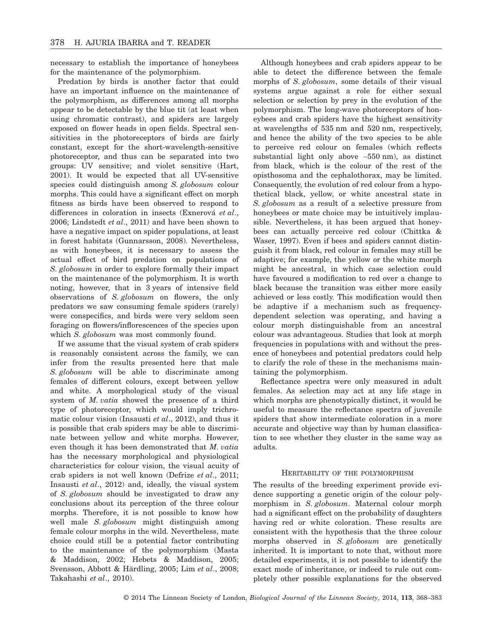necessary to establish the importance of honeybees for the maintenance of the polymorphism.

Predation by birds is another factor that could have an important influence on the maintenance of the polymorphism, as differences among all morphs appear to be detectable by the blue tit (at least when using chromatic contrast), and spiders are largely exposed on flower heads in open fields. Spectral sensitivities in the photoreceptors of birds are fairly constant, except for the short-wavelength-sensitive photoreceptor, and thus can be separated into two groups: UV sensitive; and violet sensitive (Hart, 2001). It would be expected that all UV-sensitive species could distinguish among *S. globosum* colour morphs. This could have a significant effect on morph fitness as birds have been observed to respond to differences in coloration in insects (Exnerová *et al*., 2006; Lindstedt *et al*., 2011) and have been shown to have a negative impact on spider populations, at least in forest habitats (Gunnarsson, 2008). Nevertheless, as with honeybees, it is necessary to assess the actual effect of bird predation on populations of *S. globosum* in order to explore formally their impact on the maintenance of the polymorphism. It is worth noting, however, that in 3 years of intensive field observations of *S. globosum* on flowers, the only predators we saw consuming female spiders (rarely) were conspecifics, and birds were very seldom seen foraging on flowers/inflorescences of the species upon which *S. globosum* was most commonly found.

If we assume that the visual system of crab spiders is reasonably consistent across the family, we can infer from the results presented here that male *S. globosum* will be able to discriminate among females of different colours, except between yellow and white. A morphological study of the visual system of *M. vatia* showed the presence of a third type of photoreceptor, which would imply trichromatic colour vision (Insausti *et al*., 2012), and thus it is possible that crab spiders may be able to discriminate between yellow and white morphs. However, even though it has been demonstrated that *M. vatia* has the necessary morphological and physiological characteristics for colour vision, the visual acuity of crab spiders is not well known (Defrize *et al*., 2011; Insausti *et al*., 2012) and, ideally, the visual system of *S. globosum* should be investigated to draw any conclusions about its perception of the three colour morphs. Therefore, it is not possible to know how well male *S. globosum* might distinguish among female colour morphs in the wild. Nevertheless, mate choice could still be a potential factor contributing to the maintenance of the polymorphism (Masta & Maddison, 2002; Hebets & Maddison, 2005; Svensson, Abbott & Härdling, 2005; Lim *et al*., 2008; Takahashi *et al*., 2010).

Although honeybees and crab spiders appear to be able to detect the difference between the female morphs of *S. globosum*, some details of their visual systems argue against a role for either sexual selection or selection by prey in the evolution of the polymorphism. The long-wave photoreceptors of honeybees and crab spiders have the highest sensitivity at wavelengths of 535 nm and 520 nm, respectively, and hence the ability of the two species to be able to perceive red colour on females (which reflects substantial light only above ∼550 nm), as distinct from black, which is the colour of the rest of the opisthosoma and the cephalothorax, may be limited. Consequently, the evolution of red colour from a hypothetical black, yellow, or white ancestral state in *S. globosum* as a result of a selective pressure from honeybees or mate choice may be intuitively implausible. Nevertheless, it has been argued that honeybees can actually perceive red colour (Chittka & Waser, 1997). Even if bees and spiders cannot distinguish it from black, red colour in females may still be adaptive; for example, the yellow or the white morph might be ancestral, in which case selection could have favoured a modification to red over a change to black because the transition was either more easily achieved or less costly. This modification would then be adaptive if a mechanism such as frequencydependent selection was operating, and having a colour morph distinguishable from an ancestral colour was advantageous. Studies that look at morph frequencies in populations with and without the presence of honeybees and potential predators could help to clarify the role of these in the mechanisms maintaining the polymorphism.

Reflectance spectra were only measured in adult females. As selection may act at any life stage in which morphs are phenotypically distinct, it would be useful to measure the reflectance spectra of juvenile spiders that show intermediate coloration in a more accurate and objective way than by human classification to see whether they cluster in the same way as adults.

#### HERITABILITY OF THE POLYMORPHISM

The results of the breeding experiment provide evidence supporting a genetic origin of the colour polymorphism in *S. globosum*. Maternal colour morph had a significant effect on the probability of daughters having red or white coloration. These results are consistent with the hypothesis that the three colour morphs observed in *S. globosum* are genetically inherited. It is important to note that, without more detailed experiments, it is not possible to identify the exact mode of inheritance, or indeed to rule out completely other possible explanations for the observed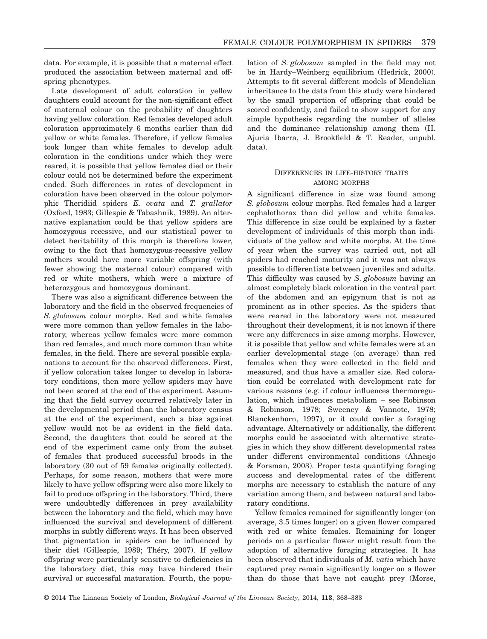data. For example, it is possible that a maternal effect produced the association between maternal and offspring phenotypes.

Late development of adult coloration in yellow daughters could account for the non-significant effect of maternal colour on the probability of daughters having yellow coloration. Red females developed adult coloration approximately 6 months earlier than did yellow or white females. Therefore, if yellow females took longer than white females to develop adult coloration in the conditions under which they were reared, it is possible that yellow females died or their colour could not be determined before the experiment ended. Such differences in rates of development in coloration have been observed in the colour polymorphic Theridiid spiders *E. ovata* and *T. grallator* (Oxford, 1983; Gillespie & Tabashnik, 1989). An alternative explanation could be that yellow spiders are homozygous recessive, and our statistical power to detect heritability of this morph is therefore lower, owing to the fact that homozygous-recessive yellow mothers would have more variable offspring (with fewer showing the maternal colour) compared with red or white mothers, which were a mixture of heterozygous and homozygous dominant.

There was also a significant difference between the laboratory and the field in the observed frequencies of *S. globosum* colour morphs. Red and white females were more common than yellow females in the laboratory, whereas yellow females were more common than red females, and much more common than white females, in the field. There are several possible explanations to account for the observed differences. First, if yellow coloration takes longer to develop in laboratory conditions, then more yellow spiders may have not been scored at the end of the experiment. Assuming that the field survey occurred relatively later in the developmental period than the laboratory census at the end of the experiment, such a bias against yellow would not be as evident in the field data. Second, the daughters that could be scored at the end of the experiment came only from the subset of females that produced successful broods in the laboratory (30 out of 59 females originally collected). Perhaps, for some reason, mothers that were more likely to have yellow offspring were also more likely to fail to produce offspring in the laboratory. Third, there were undoubtedly differences in prey availability between the laboratory and the field, which may have influenced the survival and development of different morphs in subtly different ways. It has been observed that pigmentation in spiders can be influenced by their diet (Gillespie, 1989; Théry, 2007). If yellow offspring were particularly sensitive to deficiencies in the laboratory diet, this may have hindered their survival or successful maturation. Fourth, the population of *S. globosum* sampled in the field may not be in Hardy–Weinberg equilibrium (Hedrick, 2000). Attempts to fit several different models of Mendelian inheritance to the data from this study were hindered by the small proportion of offspring that could be scored confidently, and failed to show support for any simple hypothesis regarding the number of alleles and the dominance relationship among them (H. Ajuria Ibarra, J. Brookfield & T. Reader, unpubl. data).

# DIFFERENCES IN LIFE-HISTORY TRAITS AMONG MORPHS

A significant difference in size was found among *S. globosum* colour morphs. Red females had a larger cephalothorax than did yellow and white females. This difference in size could be explained by a faster development of individuals of this morph than individuals of the yellow and white morphs. At the time of year when the survey was carried out, not all spiders had reached maturity and it was not always possible to differentiate between juveniles and adults. This difficulty was caused by *S. globosum* having an almost completely black coloration in the ventral part of the abdomen and an epigynum that is not as prominent as in other species. As the spiders that were reared in the laboratory were not measured throughout their development, it is not known if there were any differences in size among morphs. However, it is possible that yellow and white females were at an earlier developmental stage (on average) than red females when they were collected in the field and measured, and thus have a smaller size. Red coloration could be correlated with development rate for various reasons (e.g. if colour influences thermoregulation, which influences metabolism – see Robinson & Robinson, 1978; Sweeney & Vannote, 1978; Blanckenhorn, 1997), or it could confer a foraging advantage. Alternatively or additionally, the different morphs could be associated with alternative strategies in which they show different developmental rates under different environmental conditions (Ahnesjo & Forsman, 2003). Proper tests quantifying foraging success and developmental rates of the different morphs are necessary to establish the nature of any variation among them, and between natural and laboratory conditions.

Yellow females remained for significantly longer (on average, 3.5 times longer) on a given flower compared with red or white females. Remaining for longer periods on a particular flower might result from the adoption of alternative foraging strategies. It has been observed that individuals of *M. vatia* which have captured prey remain significantly longer on a flower than do those that have not caught prey (Morse,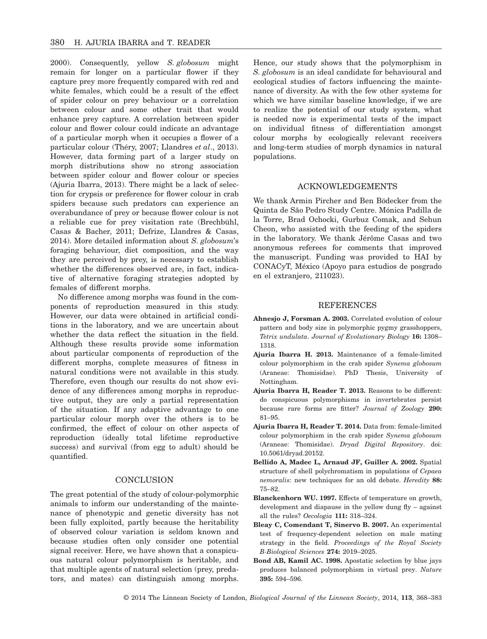2000). Consequently, yellow *S. globosum* might remain for longer on a particular flower if they capture prey more frequently compared with red and white females, which could be a result of the effect of spider colour on prey behaviour or a correlation between colour and some other trait that would enhance prey capture. A correlation between spider colour and flower colour could indicate an advantage of a particular morph when it occupies a flower of a particular colour (Théry, 2007; Llandres *et al*., 2013). However, data forming part of a larger study on morph distributions show no strong association between spider colour and flower colour or species (Ajuria Ibarra, 2013). There might be a lack of selection for crypsis or preference for flower colour in crab spiders because such predators can experience an overabundance of prey or because flower colour is not a reliable cue for prey visitation rate (Brechbühl, Casas & Bacher, 2011; Defrize, Llandres & Casas, 2014). More detailed information about *S. globosum*'s foraging behaviour, diet composition, and the way they are perceived by prey, is necessary to establish whether the differences observed are, in fact, indicative of alternative foraging strategies adopted by females of different morphs.

No difference among morphs was found in the components of reproduction measured in this study. However, our data were obtained in artificial conditions in the laboratory, and we are uncertain about whether the data reflect the situation in the field. Although these results provide some information about particular components of reproduction of the different morphs, complete measures of fitness in natural conditions were not available in this study. Therefore, even though our results do not show evidence of any differences among morphs in reproductive output, they are only a partial representation of the situation. If any adaptive advantage to one particular colour morph over the others is to be confirmed, the effect of colour on other aspects of reproduction (ideally total lifetime reproductive success) and survival (from egg to adult) should be quantified.

## **CONCLUSION**

The great potential of the study of colour-polymorphic animals to inform our understanding of the maintenance of phenotypic and genetic diversity has not been fully exploited, partly because the heritability of observed colour variation is seldom known and because studies often only consider one potential signal receiver. Here, we have shown that a conspicuous natural colour polymorphism is heritable, and that multiple agents of natural selection (prey, predators, and mates) can distinguish among morphs.

Hence, our study shows that the polymorphism in *S. globosum* is an ideal candidate for behavioural and ecological studies of factors influencing the maintenance of diversity. As with the few other systems for which we have similar baseline knowledge, if we are to realize the potential of our study system, what is needed now is experimental tests of the impact on individual fitness of differentiation amongst colour morphs by ecologically relevant receivers and long-term studies of morph dynamics in natural populations.

## ACKNOWLEDGEMENTS

We thank Armin Pircher and Ben Bödecker from the Quinta de São Pedro Study Centre. Mónica Padilla de la Torre, Brad Ochocki, Gurbuz Comak, and Sehun Cheon, who assisted with the feeding of the spiders in the laboratory. We thank Jérôme Casas and two anonymous referees for comments that improved the manuscript. Funding was provided to HAI by CONACyT, México (Apoyo para estudios de posgrado en el extranjero, 211023).

## **REFERENCES**

- **Ahnesjo J, Forsman A. 2003.** Correlated evolution of colour pattern and body size in polymorphic pygmy grasshoppers, *Tetrix undulata*. *Journal of Evolutionary Biology* **16:** 1308– 1318.
- **Ajuria Ibarra H. 2013.** Maintenance of a female-limited colour polymorphism in the crab spider *Synema globosum* (Araneae: Thomisidae). PhD Thesis, University of Nottingham.
- **Ajuria Ibarra H, Reader T. 2013.** Reasons to be different: do conspicuous polymorphisms in invertebrates persist because rare forms are fitter? *Journal of Zoology* **290:** 81–95.
- **Ajuria Ibarra H, Reader T. 2014.** Data from: female-limited colour polymorphism in the crab spider *Synema globosum* (Araneae: Thomisidae). *Dryad Digital Repository*. doi: 10.5061/dryad.20152.
- **Bellido A, Madec L, Arnaud JF, Guiller A. 2002.** Spatial structure of shell polychromatism in populations of *Cepaea nemoralis*: new techniques for an old debate. *Heredity* **88:** 75–82.
- **Blanckenhorn WU. 1997.** Effects of temperature on growth, development and diapause in the yellow dung fly – against all the rules? *Oecologia* **111:** 318–324.
- **Bleay C, Comendant T, Sinervo B. 2007.** An experimental test of frequency-dependent selection on male mating strategy in the field. *Proceedings of the Royal Society B-Biological Sciences* **274:** 2019–2025.
- **Bond AB, Kamil AC. 1998.** Apostatic selection by blue jays produces balanced polymorphism in virtual prey. *Nature* **395:** 594–596.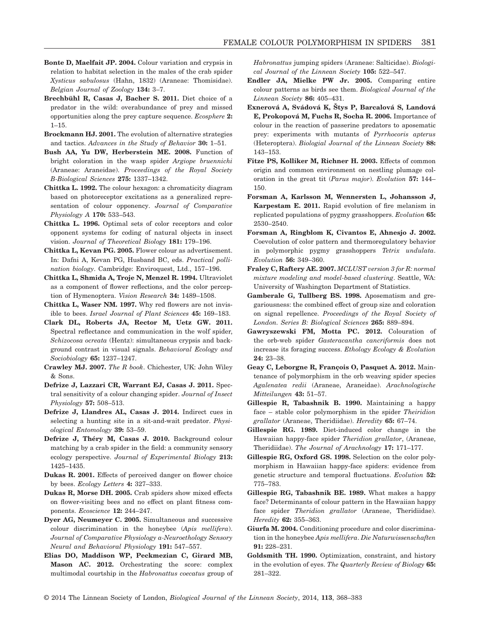- **Bonte D, Maelfait JP. 2004.** Colour variation and crypsis in relation to habitat selection in the males of the crab spider *Xysticus sabulosus* (Hahn, 1832) (Araneae: Thomisidae). *Belgian Journal of Zoology* **134:** 3–7.
- **Brechbühl R, Casas J, Bacher S. 2011.** Diet choice of a predator in the wild: overabundance of prey and missed opportunities along the prey capture sequence. *Ecosphere* **2:** 1–15.
- **Brockmann HJ. 2001.** The evolution of alternative strategies and tactics. *Advances in the Study of Behavior* **30:** 1–51.
- **Bush AA, Yu DW, Herberstein ME. 2008.** Function of bright coloration in the wasp spider *Argiope bruennichi* (Araneae: Araneidae). *Proceedings of the Royal Society B-Biological Sciences* **275:** 1337–1342.
- **Chittka L. 1992.** The colour hexagon: a chromaticity diagram based on photoreceptor excitations as a generalized representation of colour opponency. *Journal of Comparative Physiology A* **170:** 533–543.
- **Chittka L. 1996.** Optimal sets of color receptors and color opponent systems for coding of natural objects in insect vision. *Journal of Theoretical Biology* **181:** 179–196.
- **Chittka L, Kevan PG. 2005.** Flower colour as advertisement. In: Dafni A, Kevan PG, Husband BC, eds. *Practical pollination biology*. Cambridge: Enviroquest, Ltd., 157–196.
- **Chittka L, Shmida A, Troje N, Menzel R. 1994.** Ultraviolet as a component of flower reflections, and the color perception of Hymenoptera. *Vision Research* **34:** 1489–1508.
- **Chittka L, Waser NM. 1997.** Why red flowers are not invisible to bees. *Israel Journal of Plant Sciences* **45:** 169–183.
- **Clark DL, Roberts JA, Rector M, Uetz GW. 2011.** Spectral reflectance and communication in the wolf spider, *Schizocosa ocreata* (Hentz): simultaneous crypsis and background contrast in visual signals. *Behavioral Ecology and Sociobiology* **65:** 1237–1247.
- **Crawley MJ. 2007.** *The R book*. Chichester, UK: John Wiley & Sons.
- **Defrize J, Lazzari CR, Warrant EJ, Casas J. 2011.** Spectral sensitivity of a colour changing spider. *Journal of Insect Physiology* **57:** 508–513.
- **Defrize J, Llandres AL, Casas J. 2014.** Indirect cues in selecting a hunting site in a sit-and-wait predator. *Physiological Entomology* **39:** 53–59.
- **Defrize J, Théry M, Casas J. 2010.** Background colour matching by a crab spider in the field: a community sensory ecology perspective. *Journal of Experimental Biology* **213:** 1425–1435.
- **Dukas R. 2001.** Effects of perceived danger on flower choice by bees. *Ecology Letters* **4:** 327–333.
- **Dukas R, Morse DH. 2005.** Crab spiders show mixed effects on flower-visiting bees and no effect on plant fitness components. *Ecoscience* **12:** 244–247.
- **Dyer AG, Neumeyer C. 2005.** Simultaneous and successive colour discrimination in the honeybee (*Apis mellifera*). *Journal of Comparative Physiology a-Neuroethology Sensory Neural and Behavioral Physiology* **191:** 547–557.
- **Elias DO, Maddison WP, Peckmezian C, Girard MB, Mason AC. 2012.** Orchestrating the score: complex multimodal courtship in the *Habronattus coecatus* group of

*Habronattus* jumping spiders (Araneae: Salticidae). *Biological Journal of the Linnean Society* **105:** 522–547.

- **Endler JA, Mielke PW Jr. 2005.** Comparing entire colour patterns as birds see them. *Biological Journal of the Linnean Society* **86:** 405–431.
- **Exnerová A, Svádová K, Štys P, Barcalová S, Landová E, Prokopová M, Fuchs R, Socha R. 2006.** Importance of colour in the reaction of passerine predators to aposematic prey: experiments with mutants of *Pyrrhocoris apterus* (Heteroptera). *Biologial Journal of the Linnean Society* **88:** 143–153.
- **Fitze PS, Kolliker M, Richner H. 2003.** Effects of common origin and common environment on nestling plumage coloration in the great tit (*Parus major*). *Evolution* **57:** 144– 150.
- **Forsman A, Karlsson M, Wennersten L, Johansson J, Karpestam E. 2011.** Rapid evolution of fire melanism in replicated populations of pygmy grasshoppers. *Evolution* **65:** 2530–2540.
- **Forsman A, Ringblom K, Civantos E, Ahnesjo J. 2002.** Coevolution of color pattern and thermoregulatory behavior in polymorphic pygmy grasshoppers *Tetrix undulata*. *Evolution* **56:** 349–360.
- **Fraley C, Raftery AE. 2007.** *MCLUST version 3 for R: normal mixture modeling and model-based clustering*. Seattle, WA: University of Washington Department of Statistics.
- **Gamberale G, Tullberg BS. 1998.** Aposematism and gregariousness: the combined effect of group size and coloration on signal repellence. *Proceedings of the Royal Society of London. Series B: Biological Sciences* **265:** 889–894.
- **Gawryszewski FM, Motta PC. 2012.** Colouration of the orb-web spider *Gasteracantha cancriformis* does not increase its foraging success. *Ethology Ecology & Evolution* **24:** 23–38.
- **Geay C, Leborgne R, François O, Pasquet A. 2012.** Maintenance of polymorphism in the orb weaving spider species *Agalenatea redii* (Araneae, Araneidae). *Arachnologische Mitteilungen* **43:** 51–57.
- **Gillespie R, Tabashnik B. 1990.** Maintaining a happy face – stable color polymorphism in the spider *Theiridion grallator* (Araneae, Theridiidae). *Heredity* **65:** 67–74.
- **Gillespie RG. 1989.** Diet-induced color change in the Hawaiian happy-face spider *Theridion grallator*, (Araneae, Theridiidae). *The Journal of Arachnology* **17:** 171–177.
- **Gillespie RG, Oxford GS. 1998.** Selection on the color polymorphism in Hawaiian happy-face spiders: evidence from genetic structure and temporal fluctuations. *Evolution* **52:** 775–783.
- **Gillespie RG, Tabashnik BE. 1989.** What makes a happy face? Determinants of colour pattern in the Hawaiian happy face spider *Theridion grallator* (Araneae, Theridiidae). *Heredity* **62:** 355–363.
- **Giurfa M. 2004.** Conditioning procedure and color discrimination in the honeybee *Apis mellifera*. *Die Naturwissenschaften* **91:** 228–231.
- **Goldsmith TH. 1990.** Optimization, constraint, and history in the evolution of eyes. *The Quarterly Review of Biology* **65:** 281–322.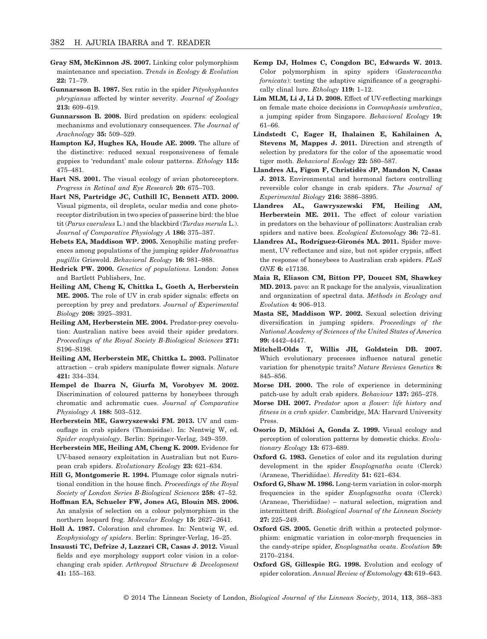- **Gray SM, McKinnon JS. 2007.** Linking color polymorphism maintenance and speciation. *Trends in Ecology & Evolution* **22:** 71–79.
- **Gunnarsson B. 1987.** Sex ratio in the spider *Pityohyphantes phrygianus* affected by winter severity. *Journal of Zoology* **213:** 609–619.
- **Gunnarsson B. 2008.** Bird predation on spiders: ecological mechanisms and evolutionary consequences. *The Journal of Arachnology* **35:** 509–529.
- **Hampton KJ, Hughes KA, Houde AE. 2009.** The allure of the distinctive: reduced sexual responsiveness of female guppies to 'redundant' male colour patterns. *Ethology* **115:** 475–481.
- **Hart NS. 2001.** The visual ecology of avian photoreceptors. *Progress in Retinal and Eye Research* **20:** 675–703.
- **Hart NS, Partridge JC, Cuthill IC, Bennett ATD. 2000.** Visual pigments, oil droplets, ocular media and cone photoreceptor distribution in two species of passerine bird: the blue tit (*Parus caeruleus* L.) and the blackbird (*Turdus merula* L.). *Journal of Comparative Physiology A* **186:** 375–387.
- **Hebets EA, Maddison WP. 2005.** Xenophilic mating preferences among populations of the jumping spider *Habronattus pugillis* Griswold. *Behavioral Ecology* **16:** 981–988.
- **Hedrick PW. 2000.** *Genetics of populations*. London: Jones and Bartlett Publishers, Inc.
- **Heiling AM, Cheng K, Chittka L, Goeth A, Herberstein ME. 2005.** The role of UV in crab spider signals: effects on perception by prey and predators. *Journal of Experimental Biology* **208:** 3925–3931.
- **Heiling AM, Herberstein ME. 2004.** Predator-prey coevolution: Australian native bees avoid their spider predators. *Proceedings of the Royal Society B-Biological Sciences* **271:** S196–S198.
- **Heiling AM, Herberstein ME, Chittka L. 2003.** Pollinator attraction – crab spiders manipulate flower signals. *Nature* **421:** 334–334.
- **Hempel de Ibarra N, Giurfa M, Vorobyev M. 2002.** Discrimination of coloured patterns by honeybees through chromatic and achromatic cues. *Journal of Comparative Physiology A* **188:** 503–512.
- **Herberstein ME, Gawryszewski FM. 2013.** UV and camouflage in crab spiders (Thomisidae). In: Nentwig W, ed. *Spider ecophysiology*. Berlin: Springer-Verlag, 349–359.
- **Herberstein ME, Heiling AM, Cheng K. 2009.** Evidence for UV-based sensory exploitation in Australian but not European crab spiders. *Evolutionary Ecology* **23:** 621–634.
- **Hill G, Montgomerie R. 1994.** Plumage color signals nutritional condition in the house finch. *Proceedings of the Royal Society of London Series B-Biological Sciences* **258:** 47–52.
- **Hoffman EA, Schueler FW, Jones AG, Blouin MS. 2006.** An analysis of selection on a colour polymorphism in the northern leopard frog. *Molecular Ecology* **15:** 2627–2641.
- **Holl A. 1987.** Coloration and chromes. In: Nentwig W, ed. *Ecophysiology of spiders*. Berlin: Springer-Verlag, 16–25.
- **Insausti TC, Defrize J, Lazzari CR, Casas J. 2012.** Visual fields and eye morphology support color vision in a colorchanging crab spider. *Arthropod Structure & Development* **41:** 155–163.
- **Kemp DJ, Holmes C, Congdon BC, Edwards W. 2013.** Color polymorphism in spiny spiders (*Gasteracantha fornicata*): testing the adaptive significance of a geographically clinal lure. *Ethology* **119:** 1–12.
- **Lim MLM, Li J, Li D. 2008.** Effect of UV-reflecting markings on female mate choice decisions in *Cosmophasis umbratica*, a jumping spider from Singapore. *Behavioral Ecology* **19:** 61–66.
- **Lindstedt C, Eager H, Ihalainen E, Kahilainen A, Stevens M, Mappes J. 2011.** Direction and strength of selection by predators for the color of the aposematic wood tiger moth. *Behavioral Ecology* **22:** 580–587.
- **Llandres AL, Figon F, Christidès JP, Mandon N, Casas J. 2013.** Environmental and hormonal factors controlling reversible color change in crab spiders. *The Journal of Experimental Biology* **216:** 3886–3895.
- **Llandres AL, Gawryszewski FM, Heiling AM, Herberstein ME. 2011.** The effect of colour variation in predators on the behaviour of pollinators: Australian crab spiders and native bees. *Ecological Entomology* **36:** 72–81.
- **Llandres AL, Rodríguez-Gironés MA. 2011.** Spider movement, UV reflectance and size, but not spider crypsis, affect the response of honeybees to Australian crab spiders. *PLoS ONE* **6:** e17136.
- **Maia R, Eliason CM, Bitton PP, Doucet SM, Shawkey MD. 2013.** pavo: an R package for the analysis, visualization and organization of spectral data. *Methods in Ecology and Evolution* **4:** 906–913.
- **Masta SE, Maddison WP. 2002.** Sexual selection driving diversification in jumping spiders. *Proceedings of the National Academy of Sciences of the United States of America* **99:** 4442–4447.
- **Mitchell-Olds T, Willis JH, Goldstein DB. 2007.** Which evolutionary processes influence natural genetic variation for phenotypic traits? *Nature Reviews Genetics* **8:** 845–856.
- **Morse DH. 2000.** The role of experience in determining patch-use by adult crab spiders. *Behaviour* **137:** 265–278.
- **Morse DH. 2007.** *Predator upon a flower: life history and fitness in a crab spider*. Cambridge, MA: Harvard University Press.
- **Osorio D, Miklósi A, Gonda Z. 1999.** Visual ecology and perception of coloration patterns by domestic chicks. *Evolutionary Ecology* **13:** 673–689.
- **Oxford G. 1983.** Genetics of color and its regulation during development in the spider *Enoplognatha ovata* (Clerck) (Araneae, Theridiidae). *Heredity* **51:** 621–634.
- **Oxford G, Shaw M. 1986.** Long-term variation in color-morph frequencies in the spider *Enoplognatha ovata* (Clerck) (Araneae, Theridiidae) – natural selection, migration and intermittent drift. *Biological Journal of the Linnean Society* **27:** 225–249.
- **Oxford GS. 2005.** Genetic drift within a protected polymorphism: enigmatic variation in color-morph frequencies in the candy-stripe spider, *Enoplognatha ovata*. *Evolution* **59:** 2170–2184.
- **Oxford GS, Gillespie RG. 1998.** Evolution and ecology of spider coloration. *Annual Review of Entomology* **43:** 619–643.